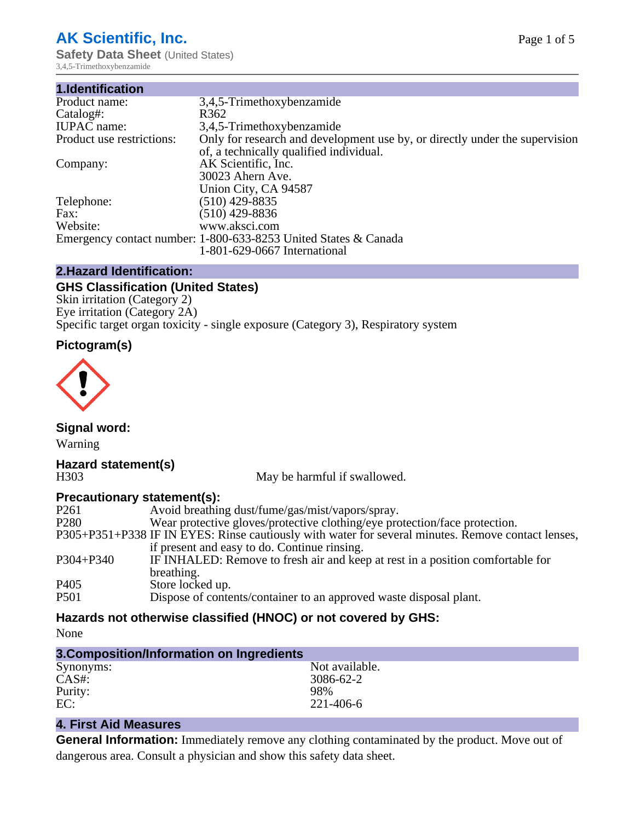# **AK Scientific, Inc.**

**Safety Data Sheet (United States)** 3,4,5-Trimethoxybenzamide

| 3,4,5-Trimethoxybenzamide                                                   |
|-----------------------------------------------------------------------------|
| R <sub>362</sub>                                                            |
| 3,4,5-Trimethoxybenzamide                                                   |
| Only for research and development use by, or directly under the supervision |
| of, a technically qualified individual.                                     |
| AK Scientific, Inc.                                                         |
| 30023 Ahern Ave.                                                            |
| Union City, CA 94587                                                        |
| $(510)$ 429-8835                                                            |
| $(510)$ 429-8836                                                            |
| www.aksci.com                                                               |
| Emergency contact number: 1-800-633-8253 United States & Canada             |
| 1-801-629-0667 International                                                |
|                                                                             |

#### **2.Hazard Identification:**

#### **GHS Classification (United States)**

Skin irritation (Category 2) Eye irritation (Category 2A) Specific target organ toxicity - single exposure (Category 3), Respiratory system

# **Pictogram(s)**



**Signal word:** Warning

# **Hazard statement(s)**

H303 May be harmful if swallowed.

### **Precautionary statement(s):**

| P <sub>261</sub> | Avoid breathing dust/fume/gas/mist/vapors/spray.                                                   |
|------------------|----------------------------------------------------------------------------------------------------|
| P <sub>280</sub> | Wear protective gloves/protective clothing/eye protection/face protection.                         |
|                  | P305+P351+P338 IF IN EYES: Rinse cautiously with water for several minutes. Remove contact lenses, |
|                  | if present and easy to do. Continue rinsing.                                                       |
| $P304 + P340$    | IF INHALED: Remove to fresh air and keep at rest in a position comfortable for                     |
|                  | breathing.                                                                                         |
| P <sub>405</sub> | Store locked up.                                                                                   |
| P <sub>501</sub> | Dispose of contents/container to an approved waste disposal plant.                                 |
|                  |                                                                                                    |

# **Hazards not otherwise classified (HNOC) or not covered by GHS:**

None

| 3. Composition/Information on Ingredients |                |  |  |
|-------------------------------------------|----------------|--|--|
| Synonyms:                                 | Not available. |  |  |
| CAS#:                                     | 3086-62-2      |  |  |
| Purity:                                   | 98%            |  |  |
| EC:                                       | 221-406-6      |  |  |

# **4. First Aid Measures**

**General Information:** Immediately remove any clothing contaminated by the product. Move out of dangerous area. Consult a physician and show this safety data sheet.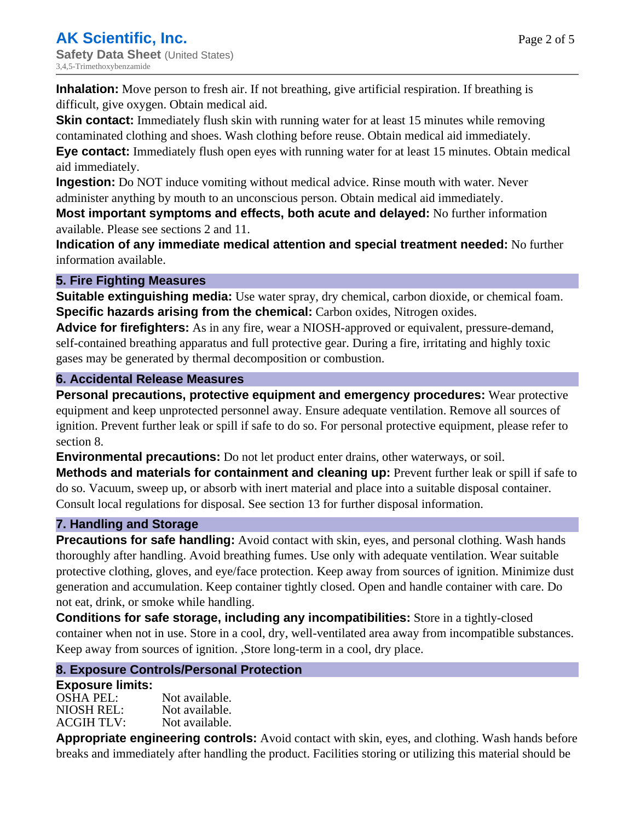**Inhalation:** Move person to fresh air. If not breathing, give artificial respiration. If breathing is difficult, give oxygen. Obtain medical aid.

**Skin contact:** Immediately flush skin with running water for at least 15 minutes while removing contaminated clothing and shoes. Wash clothing before reuse. Obtain medical aid immediately. **Eye contact:** Immediately flush open eyes with running water for at least 15 minutes. Obtain medical aid immediately.

**Ingestion:** Do NOT induce vomiting without medical advice. Rinse mouth with water. Never administer anything by mouth to an unconscious person. Obtain medical aid immediately.

**Most important symptoms and effects, both acute and delayed:** No further information available. Please see sections 2 and 11.

**Indication of any immediate medical attention and special treatment needed:** No further information available.

# **5. Fire Fighting Measures**

**Suitable extinguishing media:** Use water spray, dry chemical, carbon dioxide, or chemical foam. **Specific hazards arising from the chemical:** Carbon oxides, Nitrogen oxides.

**Advice for firefighters:** As in any fire, wear a NIOSH-approved or equivalent, pressure-demand, self-contained breathing apparatus and full protective gear. During a fire, irritating and highly toxic gases may be generated by thermal decomposition or combustion.

### **6. Accidental Release Measures**

**Personal precautions, protective equipment and emergency procedures:** Wear protective equipment and keep unprotected personnel away. Ensure adequate ventilation. Remove all sources of ignition. Prevent further leak or spill if safe to do so. For personal protective equipment, please refer to section 8.

**Environmental precautions:** Do not let product enter drains, other waterways, or soil.

**Methods and materials for containment and cleaning up:** Prevent further leak or spill if safe to do so. Vacuum, sweep up, or absorb with inert material and place into a suitable disposal container. Consult local regulations for disposal. See section 13 for further disposal information.

### **7. Handling and Storage**

**Precautions for safe handling:** Avoid contact with skin, eyes, and personal clothing. Wash hands thoroughly after handling. Avoid breathing fumes. Use only with adequate ventilation. Wear suitable protective clothing, gloves, and eye/face protection. Keep away from sources of ignition. Minimize dust generation and accumulation. Keep container tightly closed. Open and handle container with care. Do not eat, drink, or smoke while handling.

**Conditions for safe storage, including any incompatibilities:** Store in a tightly-closed container when not in use. Store in a cool, dry, well-ventilated area away from incompatible substances. Keep away from sources of ignition. ,Store long-term in a cool, dry place.

# **8. Exposure Controls/Personal Protection**

### **Exposure limits:**

| Not available. |
|----------------|
| Not available. |
| Not available. |
|                |

**Appropriate engineering controls:** Avoid contact with skin, eyes, and clothing. Wash hands before breaks and immediately after handling the product. Facilities storing or utilizing this material should be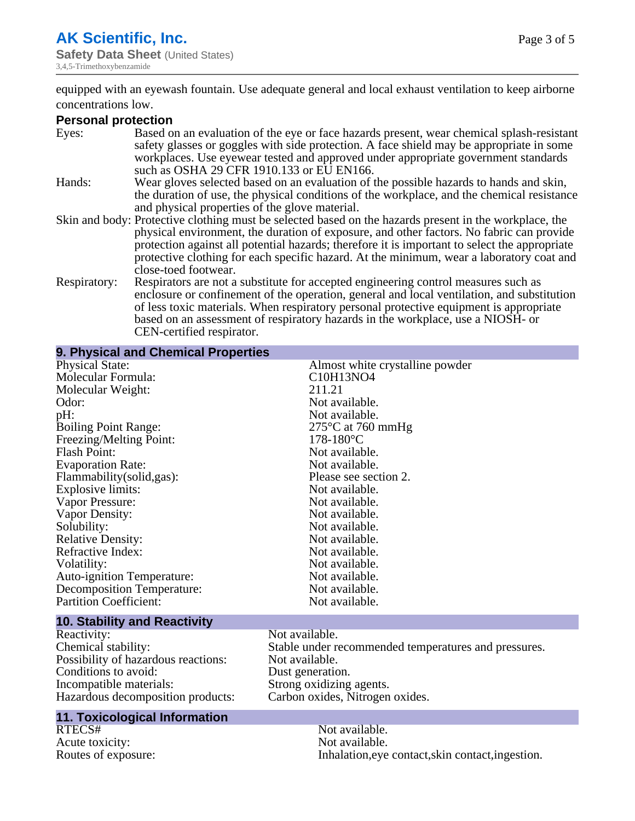Page 3 of 5

equipped with an eyewash fountain. Use adequate general and local exhaust ventilation to keep airborne concentrations low.

#### **Personal protection**

| Eyes:        | Based on an evaluation of the eye or face hazards present, wear chemical splash-resistant<br>safety glasses or goggles with side protection. A face shield may be appropriate in some<br>workplaces. Use eyewear tested and approved under appropriate government standards |
|--------------|-----------------------------------------------------------------------------------------------------------------------------------------------------------------------------------------------------------------------------------------------------------------------------|
|              | such as OSHA 29 CFR 1910.133 or EU EN166.                                                                                                                                                                                                                                   |
| Hands:       | Wear gloves selected based on an evaluation of the possible hazards to hands and skin,                                                                                                                                                                                      |
|              | the duration of use, the physical conditions of the workplace, and the chemical resistance                                                                                                                                                                                  |
|              | and physical properties of the glove material.                                                                                                                                                                                                                              |
|              | Skin and body: Protective clothing must be selected based on the hazards present in the workplace, the                                                                                                                                                                      |
|              | physical environment, the duration of exposure, and other factors. No fabric can provide                                                                                                                                                                                    |
|              | protection against all potential hazards; therefore it is important to select the appropriate                                                                                                                                                                               |
|              | protective clothing for each specific hazard. At the minimum, wear a laboratory coat and                                                                                                                                                                                    |
|              | close-toed footwear.                                                                                                                                                                                                                                                        |
| Respiratory: | Respirators are not a substitute for accepted engineering control measures such as<br>enclosure or confinement of the operation, general and local ventilation, and substitution                                                                                            |
|              | of less toxic materials. When respiratory personal protective equipment is appropriate                                                                                                                                                                                      |
|              | based on an assessment of respiratory hazards in the workplace, use a NIOSH- or                                                                                                                                                                                             |
|              | CEN-certified respirator.                                                                                                                                                                                                                                                   |

| 9. Physical and Chemical Properties |                                 |
|-------------------------------------|---------------------------------|
| <b>Physical State:</b>              | Almost white crystalline powder |
| Molecular Formula:                  | C10H13NO4                       |
| Molecular Weight:                   | 211.21                          |
| Odor:                               | Not available.                  |
| pH:                                 | Not available.                  |
| <b>Boiling Point Range:</b>         | $275^{\circ}$ C at 760 mmHg     |
| Freezing/Melting Point:             | $178-180^{\circ}C$              |
| <b>Flash Point:</b>                 | Not available.                  |
| <b>Evaporation Rate:</b>            | Not available.                  |
| Flammability (solid, gas):          | Please see section 2.           |
| Explosive limits:                   | Not available.                  |
| Vapor Pressure:                     | Not available.                  |
| Vapor Density:                      | Not available.                  |
| Solubility:                         | Not available.                  |
| <b>Relative Density:</b>            | Not available.                  |
| Refractive Index:                   | Not available.                  |
| Volatility:                         | Not available.                  |
| Auto-ignition Temperature:          | Not available.                  |
| <b>Decomposition Temperature:</b>   | Not available.                  |
| <b>Partition Coefficient:</b>       | Not available.                  |
| <b>10. Stability and Reactivity</b> |                                 |

# Reactivity: Not available.<br>
Chemical stability: Stable under re Possibility of hazardous reactions: Not available.<br>Conditions to avoid: Dust generation. Conditions to avoid:<br>Incompatible materials: Incompatible materials: Strong oxidizing agents.

# **11. Toxicological Information**

Acute toxicity:

Stable under recommended temperatures and pressures.<br>Not available. Hazardous decomposition products: Carbon oxides, Nitrogen oxides.

Not available.<br>Not available. Routes of exposure: Inhalation,eye contact,skin contact,ingestion.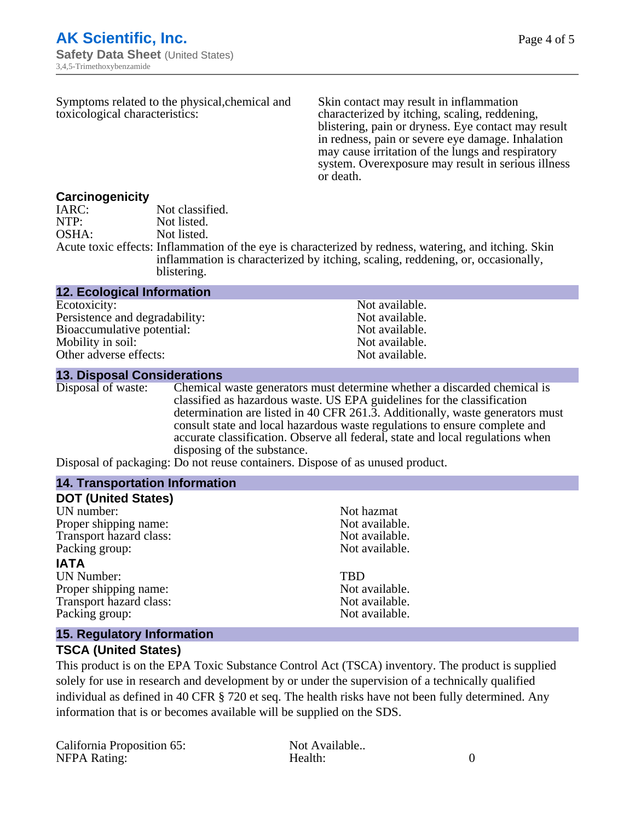| Symptoms related to the physical, chemical and<br>toxicological characteristics: |                 | Skin contact may result in inflammation<br>characterized by itching, scaling, reddening,<br>blistering, pain or dryness. Eye contact may result<br>in redness, pain or severe eye damage. Inhalation<br>may cause irritation of the lungs and respiratory<br>system. Overexposure may result in serious illness<br>or death. |  |
|----------------------------------------------------------------------------------|-----------------|------------------------------------------------------------------------------------------------------------------------------------------------------------------------------------------------------------------------------------------------------------------------------------------------------------------------------|--|
| Carcinogenicity                                                                  |                 |                                                                                                                                                                                                                                                                                                                              |  |
| IARC:                                                                            | Not classified. |                                                                                                                                                                                                                                                                                                                              |  |
| NTP:                                                                             | Not listed.     |                                                                                                                                                                                                                                                                                                                              |  |
| OSHA:                                                                            | Not listed.     |                                                                                                                                                                                                                                                                                                                              |  |

Acute toxic effects: Inflammation of the eye is characterized by redness, watering, and itching. Skin inflammation is characterized by itching, scaling, reddening, or, occasionally, blistering.

#### **12. Ecological Information**

Ecotoxicity: Not available.<br>
Persistence and degradability: Not available.<br>
Not available. Persistence and degradability: Bioaccumulative potential: Not available. Mobility in soil:<br>
Other adverse effects:<br>
Other adverse effects:<br>
Not available. Other adverse effects:

#### **13. Disposal Considerations**

Disposal of waste: Chemical waste generators must determine whether a discarded chemical is classified as hazardous waste. US EPA guidelines for the classification determination are listed in 40 CFR 261.3. Additionally, waste generators must consult state and local hazardous waste regulations to ensure complete and accurate classification. Observe all federal, state and local regulations when disposing of the substance.

Disposal of packaging: Do not reuse containers. Dispose of as unused product.

| <b>14. Transportation Information</b> |                |  |
|---------------------------------------|----------------|--|
| <b>DOT (United States)</b>            |                |  |
| UN number:                            | Not hazmat     |  |
| Proper shipping name:                 | Not available. |  |
| Transport hazard class:               | Not available. |  |
| Packing group:                        | Not available. |  |
| <b>IATA</b>                           |                |  |
| <b>UN Number:</b>                     | TBD            |  |
| Proper shipping name:                 | Not available. |  |
| Transport hazard class:               | Not available. |  |
| Packing group:                        | Not available. |  |

#### **15. Regulatory Information**

#### **TSCA (United States)**

This product is on the EPA Toxic Substance Control Act (TSCA) inventory. The product is supplied solely for use in research and development by or under the supervision of a technically qualified individual as defined in 40 CFR § 720 et seq. The health risks have not been fully determined. Any information that is or becomes available will be supplied on the SDS.

| California Proposition 65: | Not Available |  |
|----------------------------|---------------|--|
| <b>NFPA Rating:</b>        | Health:       |  |